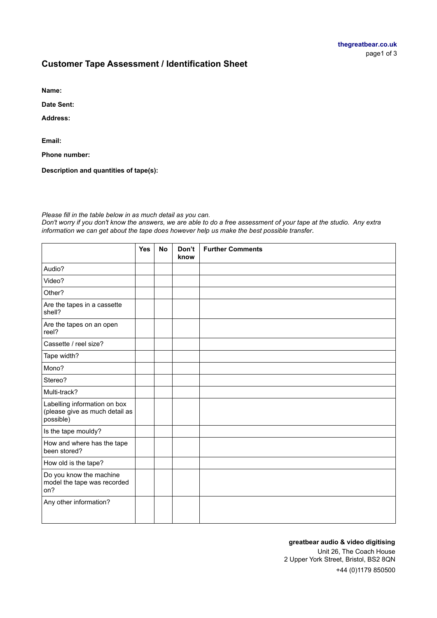# **Customer Tape Assessment / Identification Sheet**

**Name:**

**Date Sent:**

**Address:**

**Email:**

**Phone number:**

**Description and quantities of tape(s):**

### *Please fill in the table below in as much detail as you can.*

*Don't worry if you don't know the answers, we are able to do a free assessment of your tape at the studio. Any extra information we can get about the tape does however help us make the best possible transfer.*

|                                                                             | <b>Yes</b> | <b>No</b> | Don't<br>know | <b>Further Comments</b> |
|-----------------------------------------------------------------------------|------------|-----------|---------------|-------------------------|
| Audio?                                                                      |            |           |               |                         |
| Video?                                                                      |            |           |               |                         |
| Other?                                                                      |            |           |               |                         |
| Are the tapes in a cassette<br>shell?                                       |            |           |               |                         |
| Are the tapes on an open<br>reel?                                           |            |           |               |                         |
| Cassette / reel size?                                                       |            |           |               |                         |
| Tape width?                                                                 |            |           |               |                         |
| Mono?                                                                       |            |           |               |                         |
| Stereo?                                                                     |            |           |               |                         |
| Multi-track?                                                                |            |           |               |                         |
| Labelling information on box<br>(please give as much detail as<br>possible) |            |           |               |                         |
| Is the tape mouldy?                                                         |            |           |               |                         |
| How and where has the tape<br>been stored?                                  |            |           |               |                         |
| How old is the tape?                                                        |            |           |               |                         |
| Do you know the machine<br>model the tape was recorded<br>on?               |            |           |               |                         |
| Any other information?                                                      |            |           |               |                         |

#### **greatbear audio & video digitising**

Unit 26, The Coach House 2 Upper York Street, Bristol, BS2 8QN +44 (0)1179 850500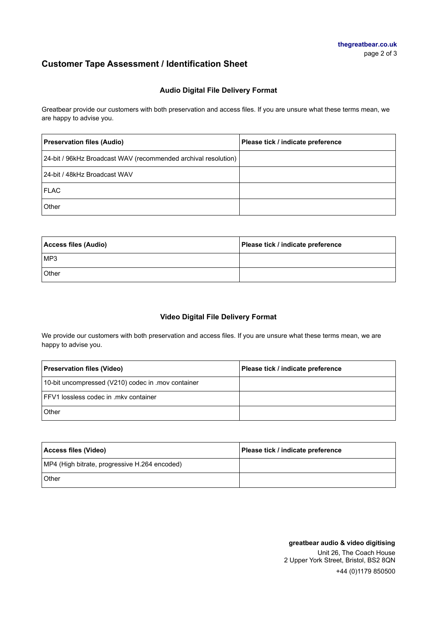# **Customer Tape Assessment / Identification Sheet**

### **Audio Digital File Delivery Format**

Greatbear provide our customers with both preservation and access files. If you are unsure what these terms mean, we are happy to advise you.

| <b>Preservation files (Audio)</b>                              | Please tick / indicate preference |
|----------------------------------------------------------------|-----------------------------------|
| 24-bit / 96kHz Broadcast WAV (recommended archival resolution) |                                   |
| 24-bit / 48kHz Broadcast WAV                                   |                                   |
| <b>FLAC</b>                                                    |                                   |
| Other                                                          |                                   |

| Access files (Audio) | Please tick / indicate preference |
|----------------------|-----------------------------------|
| IMP3                 |                                   |
| Other                |                                   |

## **Video Digital File Delivery Format**

We provide our customers with both preservation and access files. If you are unsure what these terms mean, we are happy to advise you.

| <b>Preservation files (Video)</b>                  | Please tick / indicate preference |
|----------------------------------------------------|-----------------------------------|
| 10-bit uncompressed (V210) codec in .mov container |                                   |
| <b>IFFV1</b> lossless codec in .mky container      |                                   |
| Other                                              |                                   |

| Access files (Video)                          | Please tick / indicate preference |
|-----------------------------------------------|-----------------------------------|
| MP4 (High bitrate, progressive H.264 encoded) |                                   |
| Other                                         |                                   |